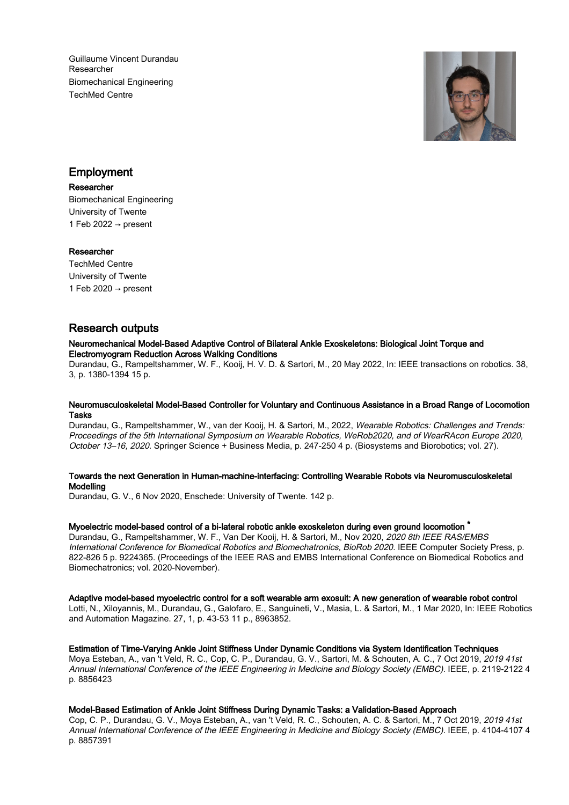Guillaume Vincent Durandau Researcher Biomechanical Engineering TechMed Centre



# Employment

# Researcher

Biomechanical Engineering University of Twente 1 Feb 2022  $\rightarrow$  present

# Researcher

TechMed Centre University of Twente 1 Feb 2020  $\rightarrow$  present

# Research outputs

#### Neuromechanical Model-Based Adaptive Control of Bilateral Ankle Exoskeletons: Biological Joint Torque and Electromyogram Reduction Across Walking Conditions

Durandau, G., Rampeltshammer, W. F., Kooij, H. V. D. & Sartori, M., 20 May 2022, In: IEEE transactions on robotics. 38, 3, p. 1380-1394 15 p.

#### Neuromusculoskeletal Model-Based Controller for Voluntary and Continuous Assistance in a Broad Range of Locomotion Tasks

Durandau, G., Rampeltshammer, W., van der Kooij, H. & Sartori, M., 2022, Wearable Robotics: Challenges and Trends: Proceedings of the 5th International Symposium on Wearable Robotics, WeRob2020, and of WearRAcon Europe 2020, October 13–16, 2020. Springer Science + Business Media, p. 247-250 4 p. (Biosystems and Biorobotics; vol. 27).

# Towards the next Generation in Human-machine-interfacing: Controlling Wearable Robots via Neuromusculoskeletal Modelling

Durandau, G. V., 6 Nov 2020, Enschede: University of Twente. 142 p.

#### Myoelectric model-based control of a bi-lateral robotic ankle exoskeleton during even ground locomotion <sup>\*</sup>

Durandau, G., Rampeltshammer, W. F., Van Der Kooij, H. & Sartori, M., Nov 2020, 2020 8th IEEE RAS/EMBS International Conference for Biomedical Robotics and Biomechatronics, BioRob 2020. IEEE Computer Society Press, p. 822-826 5 p. 9224365. (Proceedings of the IEEE RAS and EMBS International Conference on Biomedical Robotics and Biomechatronics; vol. 2020-November).

#### Adaptive model-based myoelectric control for a soft wearable arm exosuit: A new generation of wearable robot control

Lotti, N., Xiloyannis, M., Durandau, G., Galofaro, E., Sanguineti, V., Masia, L. & Sartori, M., 1 Mar 2020, In: IEEE Robotics and Automation Magazine. 27, 1, p. 43-53 11 p., 8963852.

# Estimation of Time-Varying Ankle Joint Stiffness Under Dynamic Conditions via System Identification Techniques

Moya Esteban, A., van 't Veld, R. C., Cop, C. P., Durandau, G. V., Sartori, M. & Schouten, A. C., 7 Oct 2019, 2019 41st Annual International Conference of the IEEE Engineering in Medicine and Biology Society (EMBC). IEEE, p. 2119-2122 4 p. 8856423

#### Model-Based Estimation of Ankle Joint Stiffness During Dynamic Tasks: a Validation-Based Approach

Cop, C. P., Durandau, G. V., Moya Esteban, A., van 't Veld, R. C., Schouten, A. C. & Sartori, M., 7 Oct 2019, 2019 41st Annual International Conference of the IEEE Engineering in Medicine and Biology Society (EMBC). IEEE, p. 4104-4107 4 p. 8857391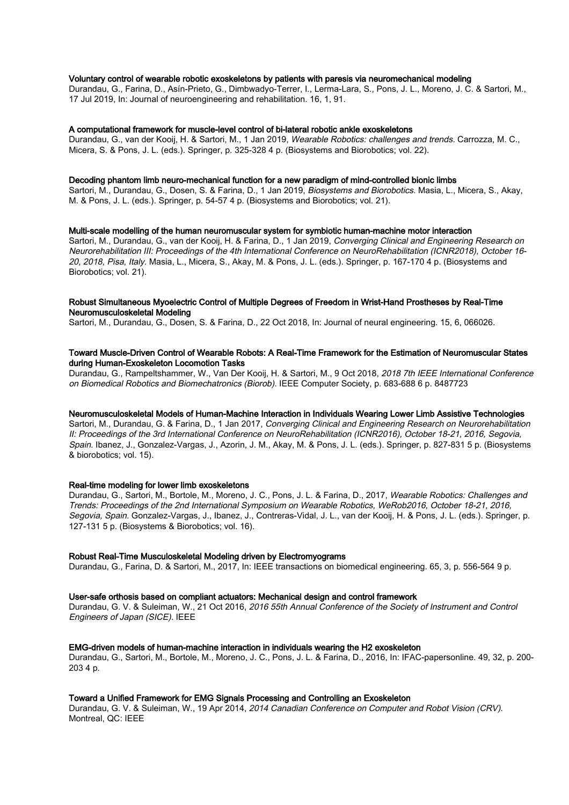#### Voluntary control of wearable robotic exoskeletons by patients with paresis via neuromechanical modeling

Durandau, G., Farina, D., Asín-Prieto, G., Dimbwadyo-Terrer, I., Lerma-Lara, S., Pons, J. L., Moreno, J. C. & Sartori, M., 17 Jul 2019, In: Journal of neuroengineering and rehabilitation. 16, 1, 91.

#### A computational framework for muscle-level control of bi-lateral robotic ankle exoskeletons

Durandau, G., van der Kooij, H. & Sartori, M., 1 Jan 2019, Wearable Robotics: challenges and trends. Carrozza, M. C., Micera, S. & Pons, J. L. (eds.). Springer, p. 325-328 4 p. (Biosystems and Biorobotics; vol. 22).

#### Decoding phantom limb neuro-mechanical function for a new paradigm of mind-controlled bionic limbs

Sartori, M., Durandau, G., Dosen, S. & Farina, D., 1 Jan 2019, Biosystems and Biorobotics. Masia, L., Micera, S., Akay, M. & Pons, J. L. (eds.). Springer, p. 54-57 4 p. (Biosystems and Biorobotics; vol. 21).

#### Multi-scale modelling of the human neuromuscular system for symbiotic human-machine motor interaction

Sartori, M., Durandau, G., van der Kooij, H. & Farina, D., 1 Jan 2019, Converging Clinical and Engineering Research on Neurorehabilitation III: Proceedings of the 4th International Conference on NeuroRehabilitation (ICNR2018), October 16- 20, 2018, Pisa, Italy. Masia, L., Micera, S., Akay, M. & Pons, J. L. (eds.). Springer, p. 167-170 4 p. (Biosystems and Biorobotics; vol. 21).

#### Robust Simultaneous Myoelectric Control of Multiple Degrees of Freedom in Wrist-Hand Prostheses by Real-Time Neuromusculoskeletal Modeling

Sartori, M., Durandau, G., Dosen, S. & Farina, D., 22 Oct 2018, In: Journal of neural engineering. 15, 6, 066026.

### Toward Muscle-Driven Control of Wearable Robots: A Real-Time Framework for the Estimation of Neuromuscular States during Human-Exoskeleton Locomotion Tasks

Durandau, G., Rampeltshammer, W., Van Der Kooij, H. & Sartori, M., 9 Oct 2018, 2018 7th IEEE International Conference on Biomedical Robotics and Biomechatronics (Biorob). IEEE Computer Society, p. 683-688 6 p. 8487723

#### Neuromusculoskeletal Models of Human-Machine Interaction in Individuals Wearing Lower Limb Assistive Technologies

Sartori, M., Durandau, G. & Farina, D., 1 Jan 2017, Converging Clinical and Engineering Research on Neurorehabilitation II: Proceedings of the 3rd International Conference on NeuroRehabilitation (ICNR2016), October 18-21, 2016, Segovia, Spain. Ibanez, J., Gonzalez-Vargas, J., Azorin, J. M., Akay, M. & Pons, J. L. (eds.). Springer, p. 827-831 5 p. (Biosystems & biorobotics; vol. 15).

#### Real-time modeling for lower limb exoskeletons

Durandau, G., Sartori, M., Bortole, M., Moreno, J. C., Pons, J. L. & Farina, D., 2017, Wearable Robotics: Challenges and Trends: Proceedings of the 2nd International Symposium on Wearable Robotics, WeRob2016, October 18-21, 2016, Segovia, Spain. Gonzalez-Vargas, J., Ibanez, J., Contreras-Vidal, J. L., van der Kooij, H. & Pons, J. L. (eds.). Springer, p. 127-131 5 p. (Biosystems & Biorobotics; vol. 16).

#### Robust Real-Time Musculoskeletal Modeling driven by Electromyograms

Durandau, G., Farina, D. & Sartori, M., 2017, In: IEEE transactions on biomedical engineering. 65, 3, p. 556-564 9 p.

#### User-safe orthosis based on compliant actuators: Mechanical design and control framework

Durandau, G. V. & Suleiman, W., 21 Oct 2016, 2016 55th Annual Conference of the Society of Instrument and Control Engineers of Japan (SICE). IEEE

#### EMG-driven models of human-machine interaction in individuals wearing the H2 exoskeleton

Durandau, G., Sartori, M., Bortole, M., Moreno, J. C., Pons, J. L. & Farina, D., 2016, In: IFAC-papersonline. 49, 32, p. 200- 203 4 p.

### Toward a Unified Framework for EMG Signals Processing and Controlling an Exoskeleton

Durandau, G. V. & Suleiman, W., 19 Apr 2014, 2014 Canadian Conference on Computer and Robot Vision (CRV). Montreal, QC: IEEE